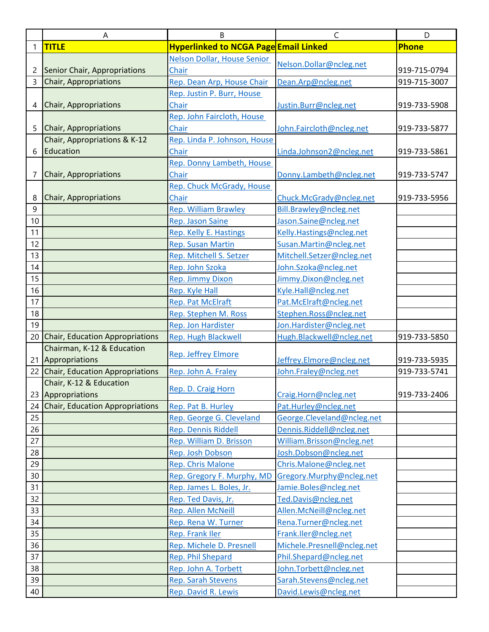|    | Α                                  | B                                            | $\mathsf{C}$               | D            |
|----|------------------------------------|----------------------------------------------|----------------------------|--------------|
| 1  | <b>TITLE</b>                       | <b>Hyperlinked to NCGA Page Email Linked</b> |                            | <b>Phone</b> |
|    |                                    | <b>Nelson Dollar, House Senior</b>           |                            |              |
| 2  | Senior Chair, Appropriations       | Chair                                        | Nelson.Dollar@ncleg.net    | 919-715-0794 |
| 3  | <b>Chair, Appropriations</b>       | Rep. Dean Arp, House Chair                   | Dean.Arp@ncleg.net         | 919-715-3007 |
|    |                                    | Rep. Justin P. Burr, House                   |                            |              |
| 4  | Chair, Appropriations              | Chair                                        | Justin.Burr@ncleg.net      | 919-733-5908 |
|    |                                    | Rep. John Faircloth, House                   |                            |              |
| 5  | Chair, Appropriations              | Chair                                        | John.Faircloth@ncleg.net   | 919-733-5877 |
|    | Chair, Appropriations & K-12       | Rep. Linda P. Johnson, House                 |                            |              |
| 6  | Education                          | Chair                                        | Linda.Johnson2@ncleg.net   | 919-733-5861 |
|    |                                    | Rep. Donny Lambeth, House                    |                            |              |
| 7  | Chair, Appropriations              | Chair                                        | Donny.Lambeth@ncleg.net    | 919-733-5747 |
|    |                                    | Rep. Chuck McGrady, House                    |                            |              |
| 8  | Chair, Appropriations              | Chair                                        | Chuck.McGrady@ncleg.net    | 919-733-5956 |
| 9  |                                    | <b>Rep. William Brawley</b>                  | Bill.Brawley@ncleg.net     |              |
| 10 |                                    | Rep. Jason Saine                             | Jason.Saine@ncleg.net      |              |
| 11 |                                    | Rep. Kelly E. Hastings                       | Kelly.Hastings@ncleg.net   |              |
| 12 |                                    | <b>Rep. Susan Martin</b>                     | Susan. Martin@ncleg.net    |              |
| 13 |                                    | Rep. Mitchell S. Setzer                      | Mitchell.Setzer@ncleg.net  |              |
| 14 |                                    | Rep. John Szoka                              | John.Szoka@ncleg.net       |              |
| 15 |                                    | <b>Rep. Jimmy Dixon</b>                      | Jimmy.Dixon@ncleg.net      |              |
| 16 |                                    | Rep. Kyle Hall                               | Kyle.Hall@ncleg.net        |              |
| 17 |                                    | <b>Rep. Pat McElraft</b>                     | Pat.McElraft@ncleg.net     |              |
| 18 |                                    | Rep. Stephen M. Ross                         | Stephen.Ross@ncleg.net     |              |
| 19 |                                    | Rep. Jon Hardister                           | Jon.Hardister@ncleg.net    |              |
|    | 20 Chair, Education Appropriations | <b>Rep. Hugh Blackwell</b>                   | Hugh.Blackwell@ncleg.net   | 919-733-5850 |
|    | Chairman, K-12 & Education         | <b>Rep. Jeffrey Elmore</b>                   |                            |              |
| 21 | Appropriations                     |                                              | Jeffrey.Elmore@ncleg.net   | 919-733-5935 |
|    | 22 Chair, Education Appropriations | Rep. John A. Fraley                          | John.Fraley@ncleg.net      | 919-733-5741 |
|    | Chair, K-12 & Education            | Rep. D. Craig Horn                           |                            |              |
|    | 23 Appropriations                  |                                              | Craig.Horn@ncleg.net       | 919-733-2406 |
|    | 24 Chair, Education Appropriations | Rep. Pat B. Hurley                           | Pat.Hurley@ncleg.net       |              |
| 25 |                                    | Rep. George G. Cleveland                     | George.Cleveland@ncleg.net |              |
| 26 |                                    | Rep. Dennis Riddell                          | Dennis.Riddell@ncleg.net   |              |
| 27 |                                    | Rep. William D. Brisson                      | William.Brisson@ncleg.net  |              |
| 28 |                                    | Rep. Josh Dobson                             | Josh.Dobson@ncleg.net      |              |
| 29 |                                    | Rep. Chris Malone                            | Chris.Malone@ncleg.net     |              |
| 30 |                                    | Rep. Gregory F. Murphy, MD                   | Gregory.Murphy@ncleg.net   |              |
| 31 |                                    | Rep. James L. Boles, Jr.                     | Jamie.Boles@ncleg.net      |              |
| 32 |                                    | Rep. Ted Davis, Jr.                          | Ted.Davis@ncleg.net        |              |
| 33 |                                    | <b>Rep. Allen McNeill</b>                    | Allen.McNeill@ncleg.net    |              |
| 34 |                                    | Rep. Rena W. Turner                          | Rena.Turner@ncleg.net      |              |
| 35 |                                    | Rep. Frank Iler                              | Frank.Iler@ncleg.net       |              |
| 36 |                                    | Rep. Michele D. Presnell                     | Michele.Presnell@ncleg.net |              |
| 37 |                                    | Rep. Phil Shepard                            | Phil.Shepard@ncleg.net     |              |
| 38 |                                    | Rep. John A. Torbett                         | John.Torbett@ncleg.net     |              |
| 39 |                                    | <b>Rep. Sarah Stevens</b>                    | Sarah.Stevens@ncleg.net    |              |
| 40 |                                    | Rep. David R. Lewis                          | David.Lewis@ncleg.net      |              |